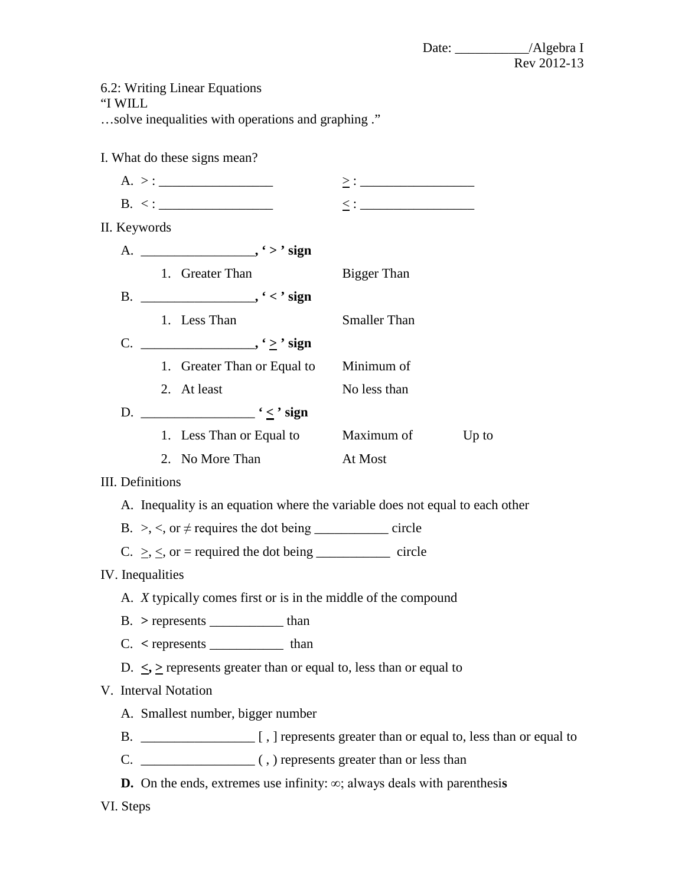Date: \_\_\_\_\_\_\_\_\_\_\_/Algebra I Rev 2012-13

|  |  |  | 6.2: Writing Linear Equations |  |
|--|--|--|-------------------------------|--|
|--|--|--|-------------------------------|--|

"I WILL

…solve inequalities with operations and graphing ."

I. What do these signs mean?

|                                                                               | II. Keywords     |                                            |                                        |                                                                       |  |  |  |
|-------------------------------------------------------------------------------|------------------|--------------------------------------------|----------------------------------------|-----------------------------------------------------------------------|--|--|--|
|                                                                               |                  |                                            |                                        |                                                                       |  |  |  |
|                                                                               |                  | 1. Greater Than                            |                                        | Bigger Than                                                           |  |  |  |
|                                                                               |                  |                                            |                                        |                                                                       |  |  |  |
|                                                                               |                  | 1. Less Than                               |                                        | <b>Smaller Than</b>                                                   |  |  |  |
|                                                                               |                  |                                            |                                        |                                                                       |  |  |  |
|                                                                               |                  |                                            | 1. Greater Than or Equal to Minimum of |                                                                       |  |  |  |
|                                                                               |                  | 2. At least                                |                                        | No less than                                                          |  |  |  |
|                                                                               |                  |                                            |                                        |                                                                       |  |  |  |
|                                                                               |                  |                                            | 1. Less Than or Equal to               | Maximum of Up to                                                      |  |  |  |
|                                                                               |                  | 2. No More Than                            |                                        | At Most                                                               |  |  |  |
|                                                                               | III. Definitions |                                            |                                        |                                                                       |  |  |  |
| A. Inequality is an equation where the variable does not equal to each other  |                  |                                            |                                        |                                                                       |  |  |  |
|                                                                               |                  |                                            |                                        | B. >, <, or $\neq$ requires the dot being _____________ circle        |  |  |  |
|                                                                               |                  |                                            |                                        | C. $\geq$ , $\leq$ , or = required the dot being _____________ circle |  |  |  |
|                                                                               | IV. Inequalities |                                            |                                        |                                                                       |  |  |  |
| A. <i>X</i> typically comes first or is in the middle of the compound         |                  |                                            |                                        |                                                                       |  |  |  |
|                                                                               |                  | $B. > represents$ $\frac{1}{2}$ than       |                                        |                                                                       |  |  |  |
|                                                                               |                  | $C.$ < represents $\_\_\_\_\_\_\_\_\$ than |                                        |                                                                       |  |  |  |
| D. $\leq$ , $\geq$ represents greater than or equal to, less than or equal to |                  |                                            |                                        |                                                                       |  |  |  |
|                                                                               |                  | V. Interval Notation                       |                                        |                                                                       |  |  |  |
| A. Smallest number, bigger number                                             |                  |                                            |                                        |                                                                       |  |  |  |
|                                                                               |                  |                                            |                                        |                                                                       |  |  |  |
|                                                                               |                  |                                            |                                        |                                                                       |  |  |  |

**D.** On the ends, extremes use infinity: ∞; always deals with parenthesi**s** 

VI. Steps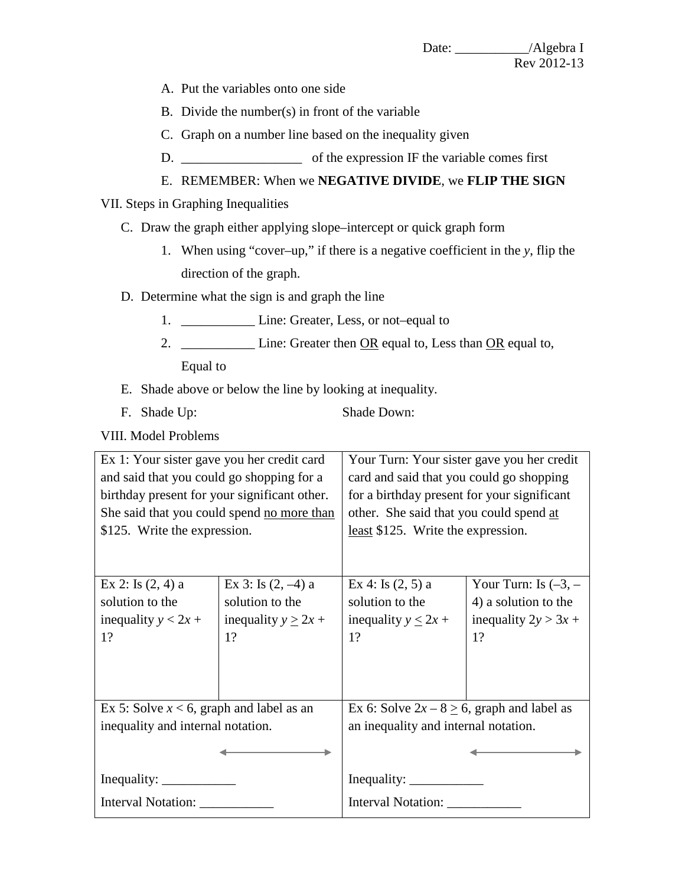- A. Put the variables onto one side
- B. Divide the number(s) in front of the variable
- C. Graph on a number line based on the inequality given
- D.  $\Box$  of the expression IF the variable comes first
- E. REMEMBER: When we **NEGATIVE DIVIDE**, we **FLIP THE SIGN**

## VII. Steps in Graphing Inequalities

- C. Draw the graph either applying slope–intercept or quick graph form
	- 1. When using "cover–up," if there is a negative coefficient in the *y*, flip the direction of the graph.
- D. Determine what the sign is and graph the line
	- 1. \_\_\_\_\_\_\_\_\_\_\_\_\_\_ Line: Greater, Less, or not–equal to
	- 2. \_\_\_\_\_\_\_\_\_\_\_\_\_ Line: Greater then <u>OR</u> equal to, Less than <u>OR</u> equal to,

Equal to

- E. Shade above or below the line by looking at inequality.
- F. Shade Up: Shade Down:

VIII. Model Problems

Ex 1: Your sister gave you her credit card and said that you could go shopping for a birthday present for your significant other. She said that you could spend no more than \$125. Write the expression. Your Turn: Your sister gave you her credit card and said that you could go shopping for a birthday present for your significant other. She said that you could spend at least \$125. Write the expression. Ex 2: Is (2, 4) a solution to the inequality  $y < 2x +$ 1? Ex  $3:$  Is  $(2, -4)$  a solution to the inequality  $y \ge 2x +$ 1? Ex 4: Is (2, 5) a solution to the inequality  $y \leq 2x +$ 1? Your Turn: Is  $(-3, -1)$ 4) a solution to the inequality  $2y > 3x +$ 1? Ex 5: Solve  $x < 6$ , graph and label as an inequality and internal notation. Inequality: \_\_\_\_\_\_\_\_\_\_\_ Interval Notation: \_\_\_\_\_\_\_\_\_\_\_ Ex 6: Solve  $2x - 8 > 6$ , graph and label as an inequality and internal notation. Inequality: \_\_\_\_\_\_\_\_\_\_\_ Interval Notation: \_\_\_\_\_\_\_\_\_\_\_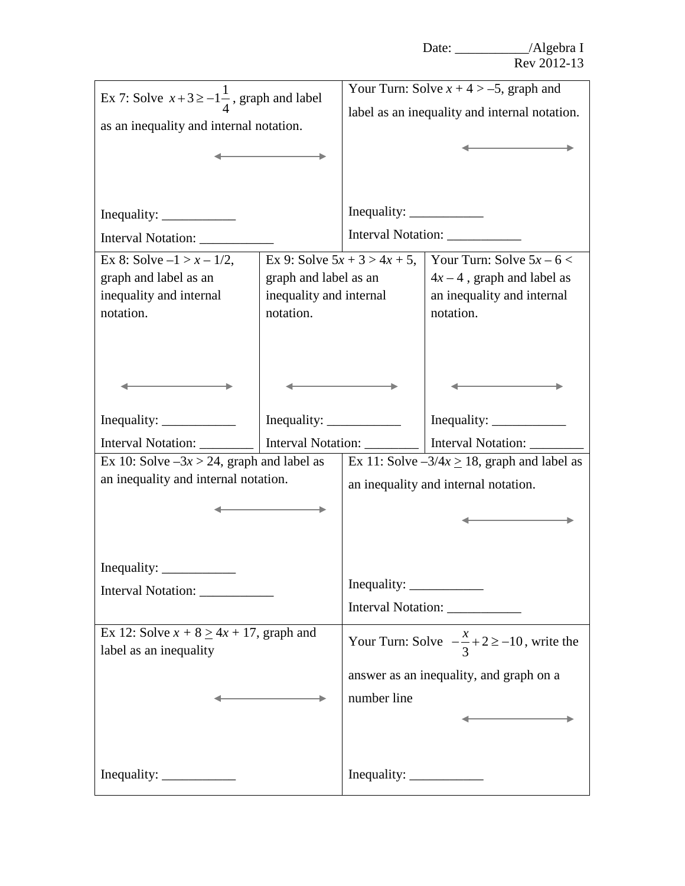| Ex 7: Solve $x+3 \ge -1\frac{1}{4}$ , graph and label                                                                                                                                                                                                                                                                                                                                                                  |                                 | Your Turn: Solve $x + 4 > -5$ , graph and             |                                                  |  |
|------------------------------------------------------------------------------------------------------------------------------------------------------------------------------------------------------------------------------------------------------------------------------------------------------------------------------------------------------------------------------------------------------------------------|---------------------------------|-------------------------------------------------------|--------------------------------------------------|--|
| as an inequality and internal notation.                                                                                                                                                                                                                                                                                                                                                                                |                                 | label as an inequality and internal notation.         |                                                  |  |
|                                                                                                                                                                                                                                                                                                                                                                                                                        |                                 |                                                       |                                                  |  |
|                                                                                                                                                                                                                                                                                                                                                                                                                        |                                 |                                                       |                                                  |  |
|                                                                                                                                                                                                                                                                                                                                                                                                                        |                                 |                                                       |                                                  |  |
|                                                                                                                                                                                                                                                                                                                                                                                                                        |                                 | Inequality: $\frac{\qquad \qquad }{\qquad \qquad }$   |                                                  |  |
| Interval Notation: ____________                                                                                                                                                                                                                                                                                                                                                                                        |                                 | Interval Notation:                                    |                                                  |  |
| Ex 8: Solve $-1 > x - 1/2$ ,                                                                                                                                                                                                                                                                                                                                                                                           | Ex 9: Solve $5x + 3 > 4x + 5$ , | Your Turn: Solve $5x - 6 <$                           |                                                  |  |
| graph and label as an                                                                                                                                                                                                                                                                                                                                                                                                  | graph and label as an           | $4x - 4$ , graph and label as                         |                                                  |  |
| inequality and internal                                                                                                                                                                                                                                                                                                                                                                                                | inequality and internal         |                                                       | an inequality and internal                       |  |
| notation.                                                                                                                                                                                                                                                                                                                                                                                                              | notation.                       | notation.                                             |                                                  |  |
|                                                                                                                                                                                                                                                                                                                                                                                                                        |                                 |                                                       |                                                  |  |
|                                                                                                                                                                                                                                                                                                                                                                                                                        |                                 |                                                       |                                                  |  |
|                                                                                                                                                                                                                                                                                                                                                                                                                        |                                 |                                                       |                                                  |  |
|                                                                                                                                                                                                                                                                                                                                                                                                                        |                                 |                                                       |                                                  |  |
|                                                                                                                                                                                                                                                                                                                                                                                                                        |                                 |                                                       |                                                  |  |
| Interval Notation:                                                                                                                                                                                                                                                                                                                                                                                                     | Interval Notation: ________     |                                                       | Interval Notation: _______                       |  |
| Ex 10: Solve $-3x > 24$ , graph and label as                                                                                                                                                                                                                                                                                                                                                                           |                                 |                                                       | Ex 11: Solve $-3/4x \ge 18$ , graph and label as |  |
| an inequality and internal notation.                                                                                                                                                                                                                                                                                                                                                                                   |                                 | an inequality and internal notation.                  |                                                  |  |
|                                                                                                                                                                                                                                                                                                                                                                                                                        |                                 |                                                       |                                                  |  |
|                                                                                                                                                                                                                                                                                                                                                                                                                        |                                 |                                                       |                                                  |  |
|                                                                                                                                                                                                                                                                                                                                                                                                                        |                                 |                                                       |                                                  |  |
|                                                                                                                                                                                                                                                                                                                                                                                                                        |                                 |                                                       |                                                  |  |
| Inequality: $\frac{1}{\sqrt{1-\frac{1}{\sqrt{1-\frac{1}{\sqrt{1-\frac{1}{\sqrt{1-\frac{1}{\sqrt{1-\frac{1}{\sqrt{1-\frac{1}{\sqrt{1-\frac{1}{\sqrt{1-\frac{1}{\sqrt{1-\frac{1}{\sqrt{1-\frac{1}{\sqrt{1-\frac{1}{\sqrt{1-\frac{1}{\sqrt{1-\frac{1}{\sqrt{1-\frac{1}{\sqrt{1-\frac{1}{\sqrt{1-\frac{1}{\sqrt{1-\frac{1}{\sqrt{1-\frac{1}{\sqrt{1-\frac{1}{\sqrt{1-\frac{1}{\sqrt{1-\frac{1}{\sqrt{1-\frac{1}{\sqrt{1-\$ |                                 | Inequality: $\frac{\qquad \qquad }{\qquad \qquad }$   |                                                  |  |
| Interval Notation: ______________                                                                                                                                                                                                                                                                                                                                                                                      |                                 | Interval Notation: ____________                       |                                                  |  |
|                                                                                                                                                                                                                                                                                                                                                                                                                        |                                 |                                                       |                                                  |  |
| Ex 12: Solve $x + 8 \ge 4x + 17$ , graph and<br>label as an inequality                                                                                                                                                                                                                                                                                                                                                 |                                 | Your Turn: Solve $-\frac{x}{3}+2 \ge -10$ , write the |                                                  |  |
|                                                                                                                                                                                                                                                                                                                                                                                                                        |                                 | answer as an inequality, and graph on a               |                                                  |  |
|                                                                                                                                                                                                                                                                                                                                                                                                                        |                                 |                                                       |                                                  |  |
|                                                                                                                                                                                                                                                                                                                                                                                                                        |                                 | number line                                           |                                                  |  |
|                                                                                                                                                                                                                                                                                                                                                                                                                        |                                 |                                                       |                                                  |  |
|                                                                                                                                                                                                                                                                                                                                                                                                                        |                                 |                                                       |                                                  |  |
|                                                                                                                                                                                                                                                                                                                                                                                                                        |                                 | Inequality: $\frac{\qquad \qquad }{\qquad \qquad }$   |                                                  |  |